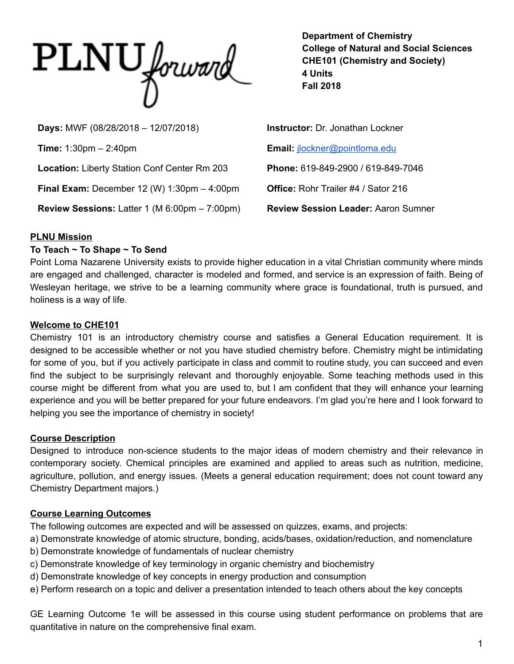

**Department of Chemistry College of Natural and Social Sciences CHE101 (Chemistry and Society) 4 Units Fall 2018**

**Days:** MWF (08/28/2018 – 12/07/2018) **Instructor:** Dr. Jonathan Lockner **Time:** 1:30pm – 2:40pm **Email:** [jlockner@pointloma.edu](mailto:jlockner@pointloma.edu) **Location:** Liberty Station Conf Center Rm 203 **Phone:** 619-849-2900 / 619-849-7046 **Final Exam:** December 12 (W) 1:30pm – 4:00pm **Office:** Rohr Trailer #4 / Sator 216 **Review Sessions:** Latter 1 (M 6:00pm – 7:00pm) **Review Session Leader:** Aaron Sumner

# **PLNU Mission**

#### **To Teach ~ To Shape ~ To Send**

Point Loma Nazarene University exists to provide higher education in a vital Christian community where minds are engaged and challenged, character is modeled and formed, and service is an expression of faith. Being of Wesleyan heritage, we strive to be a learning community where grace is foundational, truth is pursued, and holiness is a way of life.

## **Welcome to CHE101**

Chemistry 101 is an introductory chemistry course and satisfies a General Education requirement. It is designed to be accessible whether or not you have studied chemistry before. Chemistry might be intimidating for some of you, but if you actively participate in class and commit to routine study, you can succeed and even find the subject to be surprisingly relevant and thoroughly enjoyable. Some teaching methods used in this course might be different from what you are used to, but I am confident that they will enhance your learning experience and you will be better prepared for your future endeavors. I'm glad you're here and I look forward to helping you see the importance of chemistry in society!

# **Course Description**

Designed to introduce non-science students to the major ideas of modern chemistry and their relevance in contemporary society. Chemical principles are examined and applied to areas such as nutrition, medicine, agriculture, pollution, and energy issues. (Meets a general education requirement; does not count toward any Chemistry Department majors.)

# **Course Learning Outcomes**

The following outcomes are expected and will be assessed on quizzes, exams, and projects:

- a) Demonstrate knowledge of atomic structure, bonding, acids/bases, oxidation/reduction, and nomenclature
- b) Demonstrate knowledge of fundamentals of nuclear chemistry
- c) Demonstrate knowledge of key terminology in organic chemistry and biochemistry
- d) Demonstrate knowledge of key concepts in energy production and consumption
- e) Perform research on a topic and deliver a presentation intended to teach others about the key concepts

GE Learning Outcome 1e will be assessed in this course using student performance on problems that are quantitative in nature on the comprehensive final exam.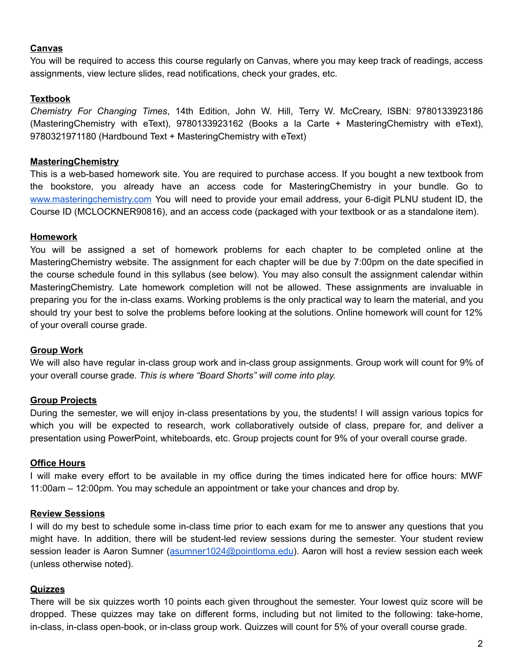#### **Canvas**

You will be required to access this course regularly on Canvas, where you may keep track of readings, access assignments, view lecture slides, read notifications, check your grades, etc.

## **Textbook**

*Chemistry For Changing Times*, 14th Edition, John W. Hill, Terry W. McCreary, ISBN: 9780133923186 (MasteringChemistry with eText), 9780133923162 (Books a la Carte + MasteringChemistry with eText), 9780321971180 (Hardbound Text + MasteringChemistry with eText)

### **MasteringChemistry**

This is a web-based homework site. You are required to purchase access. If you bought a new textbook from the bookstore, you already have an access code for MasteringChemistry in your bundle. Go to [www.masteringchemistry.com](http://www.masteringchemistry.com/) You will need to provide your email address, your 6-digit PLNU student ID, the Course ID (MCLOCKNER90816), and an access code (packaged with your textbook or as a standalone item).

## **Homework**

You will be assigned a set of homework problems for each chapter to be completed online at the MasteringChemistry website. The assignment for each chapter will be due by 7:00pm on the date specified in the course schedule found in this syllabus (see below). You may also consult the assignment calendar within MasteringChemistry. Late homework completion will not be allowed. These assignments are invaluable in preparing you for the in-class exams. Working problems is the only practical way to learn the material, and you should try your best to solve the problems before looking at the solutions. Online homework will count for 12% of your overall course grade.

#### **Group Work**

We will also have regular in-class group work and in-class group assignments. Group work will count for 9% of your overall course grade. *This is where "Board Shorts" will come into play.*

# **Group Projects**

During the semester, we will enjoy in-class presentations by you, the students! I will assign various topics for which you will be expected to research, work collaboratively outside of class, prepare for, and deliver a presentation using PowerPoint, whiteboards, etc. Group projects count for 9% of your overall course grade.

#### **Office Hours**

I will make every effort to be available in my office during the times indicated here for office hours: MWF 11:00am – 12:00pm. You may schedule an appointment or take your chances and drop by.

# **Review Sessions**

I will do my best to schedule some in-class time prior to each exam for me to answer any questions that you might have. In addition, there will be student-led review sessions during the semester. Your student review session leader is Aaron Sumner [\(asumner1024@pointloma.edu\)](mailto:asumner1024@pointloma.edu). Aaron will host a review session each week (unless otherwise noted).

#### **Quizzes**

There will be six quizzes worth 10 points each given throughout the semester. Your lowest quiz score will be dropped. These quizzes may take on different forms, including but not limited to the following: take-home, in-class, in-class open-book, or in-class group work. Quizzes will count for 5% of your overall course grade.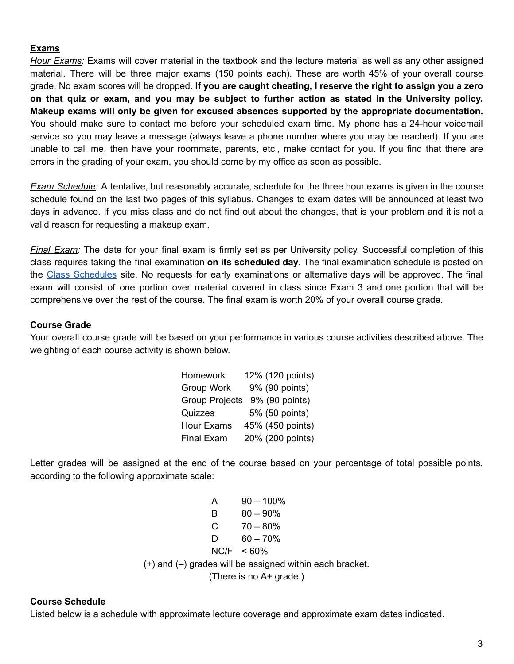#### **Exams**

*Hour Exams:* Exams will cover material in the textbook and the lecture material as well as any other assigned material. There will be three major exams (150 points each). These are worth 45% of your overall course grade. No exam scores will be dropped. **If you are caught cheating, I reserve the right to assign you a zero** on that quiz or exam, and you may be subject to further action as stated in the University policy. **Makeup exams will only be given for excused absences supported by the appropriate documentation.** You should make sure to contact me before your scheduled exam time. My phone has a 24-hour voicemail service so you may leave a message (always leave a phone number where you may be reached). If you are unable to call me, then have your roommate, parents, etc., make contact for you. If you find that there are errors in the grading of your exam, you should come by my office as soon as possible.

*Exam Schedule:* A tentative, but reasonably accurate, schedule for the three hour exams is given in the course schedule found on the last two pages of this syllabus. Changes to exam dates will be announced at least two days in advance. If you miss class and do not find out about the changes, that is your problem and it is not a valid reason for requesting a makeup exam.

*Final Exam:* The date for your final exam is firmly set as per University policy. Successful completion of this class requires taking the final examination **on its scheduled day**. The final examination schedule is posted on the Class [Schedules](https://drive.google.com/file/d/0B_GGaV-aJW1SWnVNSzMwM2dJZXc/view) site. No requests for early examinations or alternative days will be approved. The final exam will consist of one portion over material covered in class since Exam 3 and one portion that will be comprehensive over the rest of the course. The final exam is worth 20% of your overall course grade.

#### **Course Grade**

Your overall course grade will be based on your performance in various course activities described above. The weighting of each course activity is shown below.

| Homework              | 12% (120 points) |
|-----------------------|------------------|
| Group Work            | 9% (90 points)   |
| <b>Group Projects</b> | 9% (90 points)   |
| Quizzes               | 5% (50 points)   |
| <b>Hour Exams</b>     | 45% (450 points) |
| <b>Final Exam</b>     | 20% (200 points) |

Letter grades will be assigned at the end of the course based on your percentage of total possible points, according to the following approximate scale:

| A                                                            | $90 - 100\%$  |  |  |  |
|--------------------------------------------------------------|---------------|--|--|--|
| В                                                            | $80 - 90\%$   |  |  |  |
| $C$ and $C$                                                  | 70 – 80%      |  |  |  |
| D                                                            | $60 - 70\%$   |  |  |  |
|                                                              | $NC/F < 60\%$ |  |  |  |
| $(+)$ and $(-)$ grades will be assigned within each bracket. |               |  |  |  |
| (There is no A+ grade.)                                      |               |  |  |  |

#### **Course Schedule**

Listed below is a schedule with approximate lecture coverage and approximate exam dates indicated.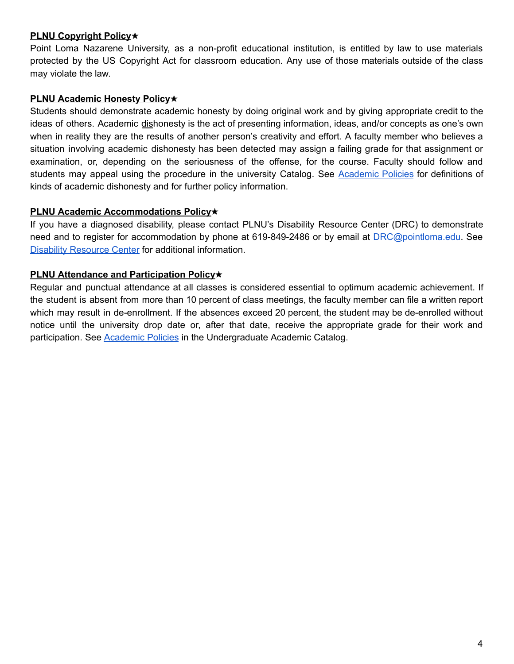## **PLNU Copyright Policy**✭

Point Loma Nazarene University, as a non-profit educational institution, is entitled by law to use materials protected by the US Copyright Act for classroom education. Any use of those materials outside of the class may violate the law.

# **PLNU Academic Honesty Policy**✭

Students should demonstrate academic honesty by doing original work and by giving appropriate credit to the ideas of others. Academic dishonesty is the act of presenting information, ideas, and/or concepts as one's own when in reality they are the results of another person's creativity and effort. A faculty member who believes a situation involving academic dishonesty has been detected may assign a failing grade for that assignment or examination, or, depending on the seriousness of the offense, for the course. Faculty should follow and students may appeal using the procedure in the university Catalog. See [Academic](https://catalog.pointloma.edu/content.php?catoid=18&navoid=1278#Academic_Honesty) Policies for definitions of kinds of academic dishonesty and for further policy information.

### **PLNU Academic Accommodations Policy**✭

If you have a diagnosed disability, please contact PLNU's Disability Resource Center (DRC) to demonstrate need and to register for accommodation by phone at 619-849-2486 or by email at [DRC@pointloma.edu.](mailto:DRC@pointloma.edu) See Disability [Resource](https://www.pointloma.edu/offices/disability-resource-center) Center for additional information.

## **PLNU Attendance and Participation Policy**✭

Regular and punctual attendance at all classes is considered essential to optimum academic achievement. If the student is absent from more than 10 percent of class meetings, the faculty member can file a written report which may result in de-enrollment. If the absences exceed 20 percent, the student may be de-enrolled without notice until the university drop date or, after that date, receive the appropriate grade for their work and participation. See [Academic](https://catalog.pointloma.edu/content.php?catoid=35&navoid=2136#Class_Attendance) Policies in the Undergraduate Academic Catalog.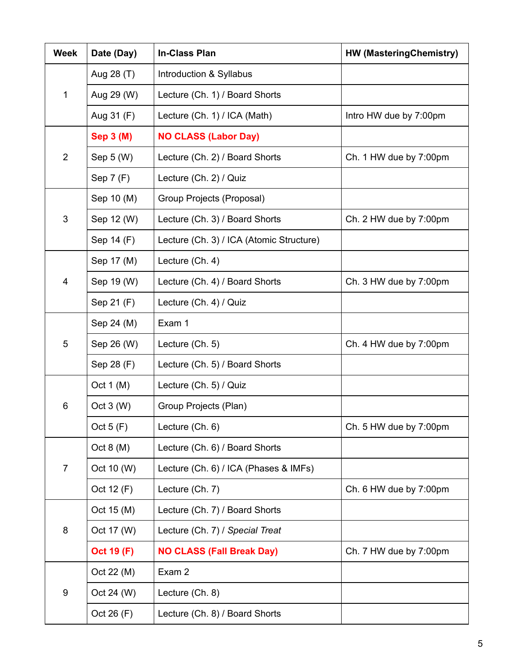| <b>Week</b>    | Date (Day)        | <b>In-Class Plan</b>                     | <b>HW (MasteringChemistry)</b> |
|----------------|-------------------|------------------------------------------|--------------------------------|
| 1              | Aug 28 (T)        | Introduction & Syllabus                  |                                |
|                | Aug 29 (W)        | Lecture (Ch. 1) / Board Shorts           |                                |
|                | Aug 31 (F)        | Lecture (Ch. 1) / ICA (Math)             | Intro HW due by 7:00pm         |
| $\overline{2}$ | <b>Sep 3 (M)</b>  | <b>NO CLASS (Labor Day)</b>              |                                |
|                | Sep $5(N)$        | Lecture (Ch. 2) / Board Shorts           | Ch. 1 HW due by 7:00pm         |
|                | Sep 7 (F)         | Lecture (Ch. 2) / Quiz                   |                                |
| 3              | Sep 10 (M)        | Group Projects (Proposal)                |                                |
|                | Sep 12 (W)        | Lecture (Ch. 3) / Board Shorts           | Ch. 2 HW due by 7:00pm         |
|                | Sep 14 (F)        | Lecture (Ch. 3) / ICA (Atomic Structure) |                                |
| 4              | Sep 17 (M)        | Lecture (Ch. 4)                          |                                |
|                | Sep 19 (W)        | Lecture (Ch. 4) / Board Shorts           | Ch. 3 HW due by 7:00pm         |
|                | Sep 21 (F)        | Lecture (Ch. 4) / Quiz                   |                                |
| 5              | Sep 24 (M)        | Exam 1                                   |                                |
|                | Sep 26 (W)        | Lecture (Ch. 5)                          | Ch. 4 HW due by 7:00pm         |
|                | Sep 28 (F)        | Lecture (Ch. 5) / Board Shorts           |                                |
| 6              | Oct $1(M)$        | Lecture (Ch. 5) / Quiz                   |                                |
|                | Oct 3 (W)         | Group Projects (Plan)                    |                                |
|                | Oct $5(F)$        | Lecture (Ch. 6)                          | Ch. 5 HW due by 7:00pm         |
| $\overline{7}$ | Oct $8(M)$        | Lecture (Ch. 6) / Board Shorts           |                                |
|                | Oct 10 (W)        | Lecture (Ch. 6) / ICA (Phases & IMFs)    |                                |
|                | Oct 12 (F)        | Lecture (Ch. 7)                          | Ch. 6 HW due by 7:00pm         |
| 8              | Oct 15 (M)        | Lecture (Ch. 7) / Board Shorts           |                                |
|                | Oct 17 (W)        | Lecture (Ch. 7) / Special Treat          |                                |
|                | <b>Oct 19 (F)</b> | <b>NO CLASS (Fall Break Day)</b>         | Ch. 7 HW due by 7:00pm         |
| 9              | Oct 22 (M)        | Exam 2                                   |                                |
|                | Oct 24 (W)        | Lecture (Ch. 8)                          |                                |
|                | Oct 26 (F)        | Lecture (Ch. 8) / Board Shorts           |                                |